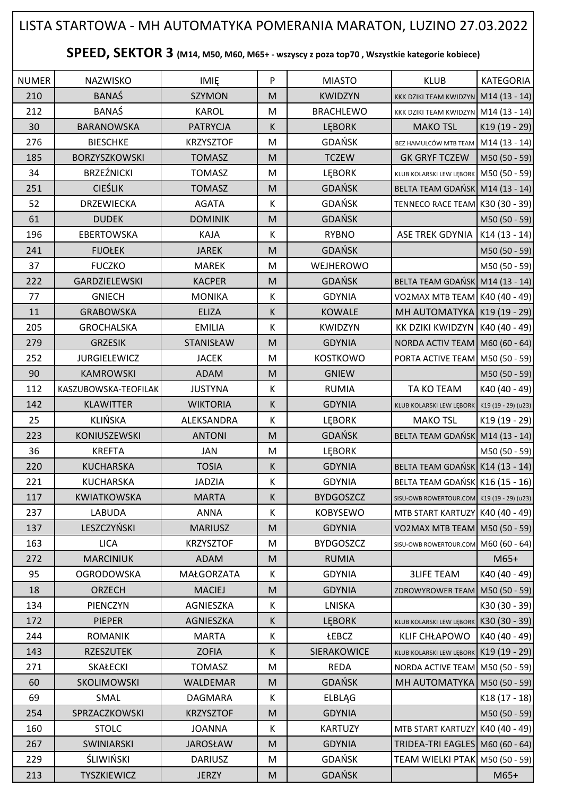## NUMER | NAZWISKO | IMIĘ | P | MIASTO | KLUB |KATEGORIA 210 BANAŚ | SZYMON M KWIDZYN KKK DZIKI TEAM KWIDZYN | KAK DZIKI TEAM KWIDZYN M14 (13 - 14) 212 BANAŚ | KAROL | M BRACHLEWO KKK DZIKI TEAM KWIDZYN M14 (13 - 14) 30 | BARANOWSKA | PATRYCJA | K | LĘBORK | MAKO TSL |K19 (19 - 29) 276 BIESCHKE KRZYSZTOF M GDAŃSK BEZ HAMULCÓW MTB TEAM M14 (13 - 14) 185 BORZYSZKOWSKI TOMASZ M M TCZEW GK GRYF TCZEW M50 (50 - 59) 34 | BRZEŹNICKI | TOMASZ | M | LĘBORK | KLUB KOLARSKI LEW LĘBORK | M50 (50 - 59) 251 | CIEŚLIK | TOMASZ | M | GDAŃSK | BELTA TEAM GDAŃSK M14 (13 - 14) 52 DRZEWIECKA AGATA K GDAŃSK TENNECO RACE TEAM K30 (30 - 39) 61 DUDEK DOMINIK M GDAŃSK M50 (50 - 59) 196 | EBERTOWSKA | KAJA | K | RYBNO | ASE TREK GDYNIA K14 (13 - 14) 241 | FIJOŁEK | JAREK | M | GDAŃSK | M50 (50 - 59) 37 | FUCZKO | MAREK |M | WEJHEROWO | |M50 (50 - 59) 222 GARDZIELEWSKI KACPER M GDAŃSK BELTA TEAM GDAŃSK M14 (13 - 14) 77 GNIECH MONIKA K GDYNIA VO2MAX MTB TEAM K40 (40 - 49) 11 | GRABOWSKA | ELIZA | K | KOWALE |MH AUTOMATYKA K19 (19 - 29) 205 GROCHALSKA | EMILIA | K | KWIDZYN | KK DZIKI KWIDZYN K40 (40 - 49) 279 GRZESIK | STANISŁAW | M | GDYNIA | NORDA ACTIV TEAM M60 (60 - 64) 252 JURGIELEWICZ J JACEK M M KOSTKOWO PORTA ACTIVE TEAM M50 (50 - 59) 90 | KAMROWSKI | ADAM | M | GNIEW | M50 (50 - 59) 112 KASZUBOWSKA-TEOFILAK JUSTYNA K RUMIA TA KO TEAM K40 (40 - 49) 142 KLAWITTER | WIKTORIA K GDYNIA KLUB KOLARSKI LEW LĘBORK K19 (19 - 29) (u23) 25 | KLIŃSKA | ALEKSANDRA | K | LĘBORK | MAKO<code>TSL</code> |K19<code>(19-29)</code> 223 | KONIUSZEWSKI | ANTONI | M | GDAŃSK | BELTA TEAM GDAŃSK M14 (13 - 14) 36 | KREFTA | JAN | M | LĘBORK | M50 (50 - 59) 220 KUCHARSKA | TOSIA | K | GDYNIA |BELTA TEAM GDAŃSK K14 (13 - 14) 221 | KUCHARSKA | JADZIA | K | GDYNIA | BELTA TEAM GDAŃSK K16 (15 - 16) 117 KWIATKOWSKA MARTA K BYDGOSZCZ SISU-OWB ROWERTOUR.COM K19 (19 - 29) (u23) 237 LABUDA LABUDA ANNA K KOBYSEWO MTB START KARTUZY K40 (40 - 49) 137 LESZCZYŃSKI | MARIUSZ | M | GDYNIA | VO2MAX MTB TEAM M50 (50 - 59) 163 LICA **REXALIGE M** M BYDGOSZCZ SISU-OWB ROWERTOUR.COM M60 (60 - 64) 272 | MARCINIUK | ADAM | M. | RUMIA | | M65+ 95 | OGRODOWSKA | MAŁGORZATA | K | GDYNIA | 3LIFE TEAM | K40 (40 - 49) 18 | ORZECH | MACIEJ | M | GDYNIA | ZDROWYROWER TEAM | M50 (50 - 59) 134 | PIENCZYN | AGNIESZKA | K | LNISKA | K | K30 (30 - 39) 172 | PIEPER | AGNIESZKA | K | LĘBORK | KLUB KOLARSKI LEW LĘBORK | K30 (30 - 39) 244 | ROMANIK | MARTA | K | ŁEBCZ | KLIF CHŁAPOWO | K40 (40 - 49) 143 | RZESZUTEK | ZOFIA | K | SIERAKOWICE KLUB KOLARSKI LEW LĘBORK K19 (19 - 29) 271 SKAŁECKI | TOMASZ | M | REDA | NORDA ACTIVE TEAM M50 (50 - 59) 60 | SKOLIMOWSKI | WALDEMAR | M | GDAŃSK | MH AUTOMATYKA M50 (50 - 59) 69 | SMAL | DAGMARA |K | ELBLĄG | K18(17 - 18) 254 SPRZACZKOWSKI KRZYSZTOF M GDYNIA M50 (50 - 59) 160 STOLC | JOANNA | K | KARTUZY | MTB START KARTUZY | K40 (40 - 49) 267 | SWINIARSKI | JAROSŁAW | M | GDYNIA | TRIDEA-TRI EAGLES | M60 (60 - 64) 229 | ŚLIWIŃSKI | DARIUSZ | M | GDAŃSK | TEAM WIELKI PTAK M50 (50 - 59) 213 | TYSZKIEWICZ | JERZY || MI GDAŃSK || | M65+ **SPEED, SEKTOR 3 (M14, M50, M60, M65+ - wszyscy z poza top70 , Wszystkie kategorie kobiece)** LISTA STARTOWA - MH AUTOMATYKA POMERANIA MARATON, LUZINO 27.03.2022